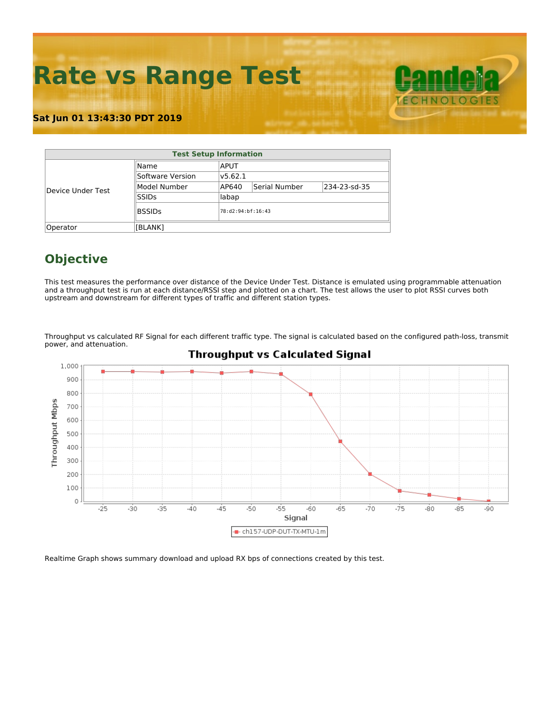**Rate vs Range Test**

### **Sat Jun 01 13:43:30 PDT 2019**

| <b>Test Setup Information</b> |                  |         |                   |              |  |  |  |  |  |  |
|-------------------------------|------------------|---------|-------------------|--------------|--|--|--|--|--|--|
|                               | Name             | APUT    |                   |              |  |  |  |  |  |  |
|                               | Software Version | v5.62.1 |                   |              |  |  |  |  |  |  |
| Device Under Test             | Model Number     | AP640   | Serial Number     | 234-23-sd-35 |  |  |  |  |  |  |
|                               | <b>SSIDs</b>     | labap   |                   |              |  |  |  |  |  |  |
|                               | <b>BSSIDs</b>    |         | 78:d2:94:bf:16:43 |              |  |  |  |  |  |  |
| Operator                      | [BLANK]          |         |                   |              |  |  |  |  |  |  |

# **Objective**

This test measures the performance over distance of the Device Under Test. Distance is emulated using programmable attenuation and a throughput test is run at each distance/RSSI step and plotted on a chart. The test allows the user to plot RSSI curves both upstream and downstream for different types of traffic and different station types.

Throughput vs calculated RF Signal for each different traffic type. The signal is calculated based on the configured path-loss, transmit power, and attenuation.



## **Throughput vs Calculated Signal**

Realtime Graph shows summary download and upload RX bps of connections created by this test.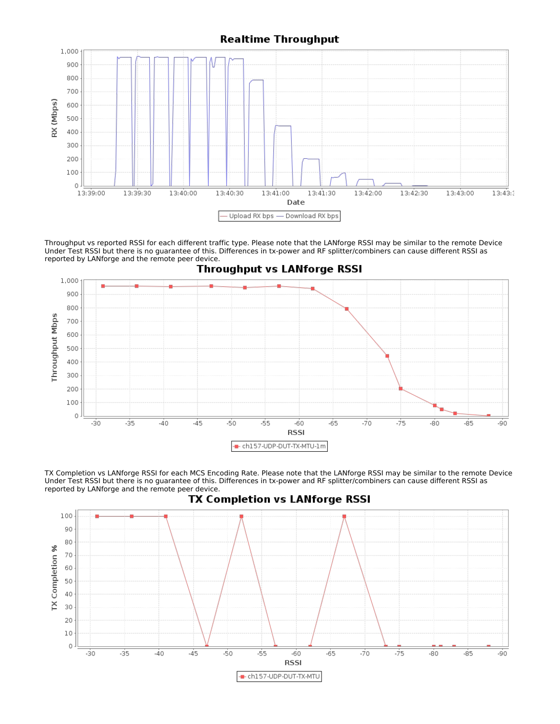### **Realtime Throughput**



Throughput vs reported RSSI for each different traffic type. Please note that the LANforge RSSI may be similar to the remote Device Under Test RSSI but there is no guarantee of this. Differences in tx-power and RF splitter/combiners can cause different RSSI as reported by LANforge and the remote peer device.



TX Completion vs LANforge RSSI for each MCS Encoding Rate. Please note that the LANforge RSSI may be similar to the remote Device Under Test RSSI but there is no guarantee of this. Differences in tx-power and RF splitter/combiners can cause different RSSI as reported by LANforge and the remote peer device.



TX Completion vs LANforge RSSI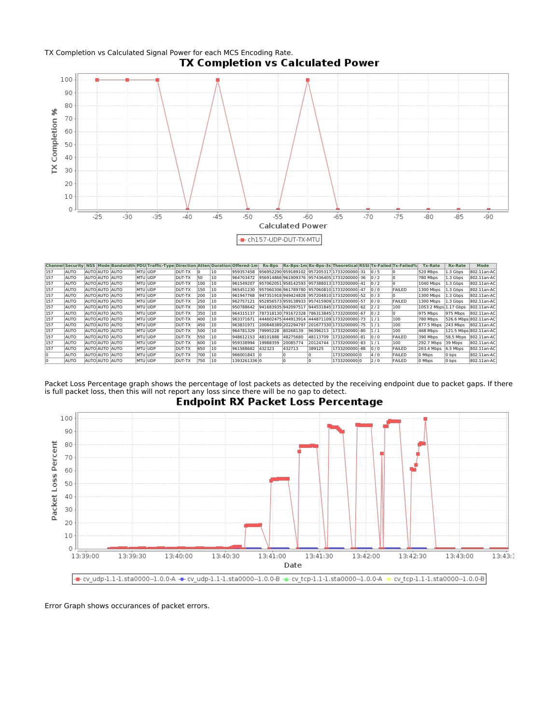

| <b>Channe</b> | <b>Il Security</b> |                       |                | NSS Mode Bandwidth PDU Traffic-Type |               |     |     |             |                   |        |          | Direction Atten Duration Offered-1m Rx-Bps Rx-Bps-1m Rx-Bps-3s Theoretical RSSI Tx-Failed Tx-Failed% |                |               | <b>Tx-Rate</b>        | <b>Rx-Rate</b> | <b>Mode</b>            |
|---------------|--------------------|-----------------------|----------------|-------------------------------------|---------------|-----|-----|-------------|-------------------|--------|----------|------------------------------------------------------------------------------------------------------|----------------|---------------|-----------------------|----------------|------------------------|
| 157           | AUTO               | AUTOLAUTO LAUTO       | <b>MTU UDP</b> |                                     | DUT-TX        |     | 10  |             |                   |        |          | 959357458  956952290 959189102  957205317 1733200000 -31  0/5                                        |                |               | 520 Mbps              | 1.3 Gbps       | 802.11an-AC            |
| 157           | AUTO               | AUTOLAUTO LAUTO       | IMTU lUDP      |                                     | DUT-TX        | 50  | 10  | 964703472   |                   |        |          | 956914866961909376 957436405 1733200000 - 36 0 / 2                                                   |                |               | 780 Mbps              | 1.3 Gbps       | 802.11an-AC            |
| 157           | AUTO               | AUTO AUTO AUTO        | <b>MTU UDP</b> |                                     | <b>DUT-TX</b> | 100 | 10  | 961549207   |                   |        |          | 957062051958142593 957388013 1733200000 - 41 0 / 2                                                   |                |               | 1040 Mbps             | 1.3 Gbps       | 802.11an-AC            |
| 157           | AUTO               | AUTO AUTO AUTO        | <b>MTU UDP</b> |                                     | <b>DUT-TX</b> | 150 | 10  |             |                   |        |          | 965451230 957060306 961789780 957060810 1733200000 -47                                               | 10/0           | <b>FAILED</b> | 1300 Mbps             | 1.3 Gbps       | 802.11an-AC            |
| 157           | AUTO               | <b>AUTO AUTO AUTO</b> | <b>MTU UDP</b> |                                     | <b>DUT-TX</b> | 200 | 10  |             |                   |        |          | 961947768  947351918 949424828 957204810 1733200000 - 52 0 / 3                                       |                |               | 1300 Mbps             | 1.3 Gbps       | 802.11an-AC            |
| 157           | AUTO               | AUTO AUTO AUTO        | MTU UDP        |                                     | <b>DUT-TX</b> | 250 | 10  | 962757121   |                   |        |          | 952856573 959138933  957415909 1733200000 -57                                                        | 0/0            | FAILED        | 1300 Mbps             | 1.3 Gbps       | 802.11an-AC            |
| 157           | AUTO               | AUTOLAUTO LAUTO       | <b>MTU UDP</b> |                                     | <b>DUT-TX</b> | 300 | 10  | 950788642   |                   |        |          | 941683935942097517 944531845 1733200000 - 62 2 / 2                                                   |                | 100           | 1053.2 Mbps 1.17 Gbps |                | 802.11an-AC            |
| 157           | AUTO               | <b>AUTO AUTO AUTO</b> | <b>MTU UDP</b> |                                     | <b>DUT-TX</b> | 350 | 10  | 964315137   |                   |        |          | 787318130 791672328  786313845 1733200000 - 67                                                       | $\frac{10}{2}$ |               | 975 Mbps              | 975 Mbps       | 802.11an-AC            |
| 157           | AUTO               | AUTO AUTO AUTO        |                | MTU JUDP                            | <b>DUT-TX</b> | 400 | 10  | 963371671   |                   |        |          | 444602475 444913914 444871109 1733200000 -73  1 / 1                                                  |                | 100           | 780 Mbps              |                | 526.6 Mbps 802.11an-AC |
| 157           | AUTO               | AUTO AUTO AUTO        | <b>MTU UDP</b> |                                     | <b>DUT-TX</b> | 450 | 10  | 963831971   |                   |        |          | 200848389 202294797 201677330 1733200000 - 75 1 / 1                                                  |                | 100           | 877.5 Mbps            | 243 Mbps       | 802.11an-AC            |
| 157           | AUTO               | AUTO AUTO AUTO        | <b>MTU UDP</b> |                                     | <b>DUT-TX</b> | 500 | 10  | 964781329   | 79995228 80268139 |        |          | 96396213  1733200000 -80  1/1                                                                        |                | 100           | 468 Mbps              |                | 121.5 Mbps 802.11an-AC |
| 157           | AUTO               | AUTO AUTO AUTO        | <b>MTU UDP</b> |                                     | <b>DUT-TX</b> | 550 | 10  | 948612153   | 48101888 48275680 |        | 48113709 | 1733200000 - 81                                                                                      | 0/0            | FAILED        | 390 Mbps              | 58.5 Mbps      | 802.11an-AC            |
| 157           | AUTO               | AUTOLAUTO LAUTO       | IMTU lUDP      |                                     | DUT-TX        | 600 | 10  | 959338994   | 19988359 20085774 |        | 20124744 | 1733200000 - 83                                                                                      | 1/1            | 100           | 292.7 Mbps            | 39 Mbps        | 802.11an-AC            |
| 157           | AUTO               | AUTO AUTO AUTO        | <b>MTU UDP</b> |                                     | DUT-TX        | 650 | 10  | 961588682   | 432323            | 432713 | 389125   | 1733200000 - 88                                                                                      | 0/0            | FAILED        | 263.4 Mbps            | 6.5 Mbps       | 802.11an-AC            |
|               | AUTO               | AUTO AUTO AUTO        | <b>MTU UDP</b> |                                     | DUT-TX        | 700 | 10  | 966001843 0 |                   |        |          | 1733200000 0                                                                                         | 4/0            | FAILED        | 0 Mbps                | $0$ bps        | 802.11an-AC            |
| 10            | AUTO               | AUTO AUTO AUTO        | <b>MTU UDP</b> |                                     | DUT-TX        | 750 | 110 | 13932613360 |                   |        |          | 1733200000 0                                                                                         | 2/0            | <b>FAILED</b> | 0 Mbps                | 0 bps          | 802.11an-AC            |

Packet Loss Percentage graph shows the percentage of lost packets as detected by the receiving endpoint due to packet gaps. If there is full packet loss, then this will not report any loss since there will be no gap to detect.



**Endpoint RX Packet Loss Percentage** 

Error Graph shows occurances of packet errors.